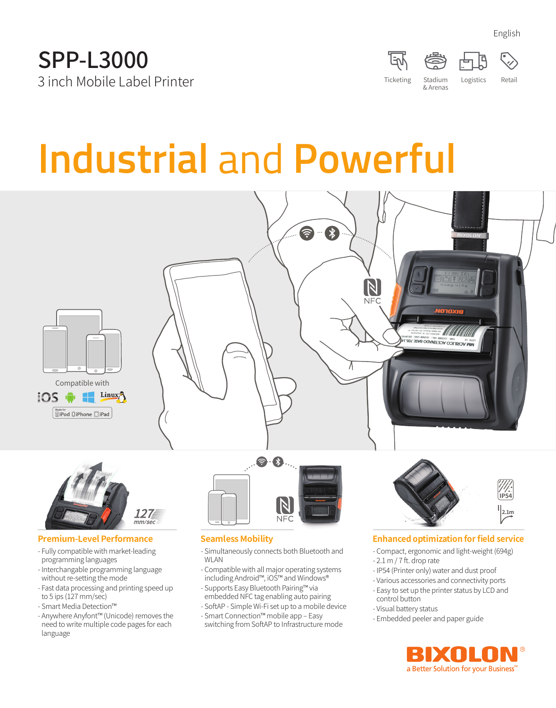

English

# **Industrial** and **Powerful**





#### **Premium-Level Performance**

- Fully compatible with market-leading programming languages
- Interchangable programming language without re-setting the mode
- Fast data processing and printing speed up to 5 ips (127 mm/sec)
- Smart Media Detection™
- Anywhere Anyfont™ (Unicode) removes the need to write multiple code pages for each language



#### **Seamless Mobility**

- Simultaneously connects both Bluetooth and WLAN
- Compatible with all major operating systems including Android™, iOS™ and Windows®
- Supports Easy Bluetooth Pairing™ via embedded NFC tag enabling auto pairing
- SoftAP Simple Wi-Fi set up to a mobile device
- Smart Connection™ mobile app Easy switching from SoftAP to Infrastructure mode



#### **Enhanced optimization for field service**

- Compact, ergonomic and light-weight (694g)
- 2.1 m / 7 ft. drop rate
- IP54 (Printer only) water and dust proof
- Various accessories and connectivity ports
- Easy to set up the printer status by LCD and control button
- Visual battery status
- Embedded peeler and paper guide